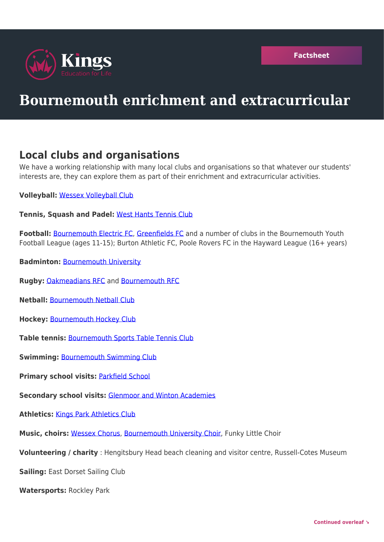

## **Bournemouth enrichment and extracurricular**

## **Local clubs and organisations**

We have a working relationship with many local clubs and organisations so that whatever our students' interests are, they can explore them as part of their enrichment and extracurricular activities.

**Volleyball:** [Wessex Volleyball Club](https://www.wessexvolleyball.com/)

**Tennis, Squash and Padel:** [West Hants Tennis Club](https://www.westhants.co.uk/)

**Football:** [Bournemouth Electric FC,](https://bournemouthelectricclub.co.uk/football/) [Greenfields FC](https://www.greenfieldsyfc.com/) and a number of clubs in the Bournemouth Youth Football League (ages 11-15); Burton Athletic FC, Poole Rovers FC in the Hayward League (16+ years)

- **Badminton:** [Bournemouth University](https://www.bournemouth.ac.uk/why-bu/sportbu/find-sport-or-class/badminton)
- **Rugby:** [Oakmeadians RFC](https://oakmeadians-rfc.com/) and [Bournemouth RFC](https://bournemouth-rugby.co.uk/)
- **Netball:** [Bournemouth Netball Club](https://www.netballbournemouth.co.uk/)
- **Hockey:** [Bournemouth Hockey Club](https://bournemouthhc.co.uk/)
- **Table tennis:** [Bournemouth Sports Table Tennis Club](https://bournemouthsportstabletennisclub.co.uk/)

**Swimming:** [Bournemouth Swimming Club](https://www.bournemouthswimming.club/)

**Primary school visits:** [Parkfield School](https://www.parkfieldschool.com/)

**Secondary school visits:** [Glenmoor and Winton Academies](https://www.glenmoorandwinton.org.uk/)

**Athletics:** [Kings Park Athletics Club](https://www.bournemouthac.co.uk/)

**Music, choirs:** [Wessex Chorus](https://www.wessexchorus.org.uk/), [Bournemouth University Choir](https://www.bournemouth.ac.uk/students/things-do/university-music/choirs), Funky Little Choir

**Volunteering / charity** : Hengitsbury Head beach cleaning and visitor centre, Russell-Cotes Museum

**Sailing:** East Dorset Sailing Club

**Watersports:** Rockley Park